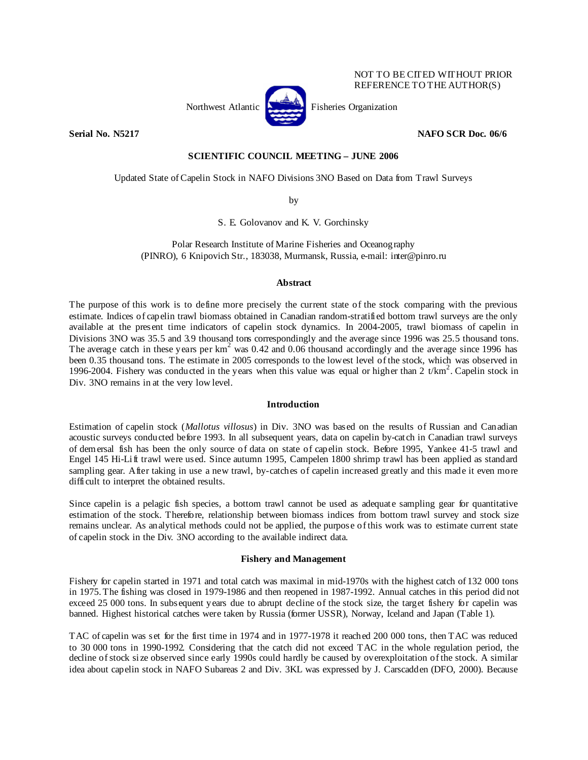

NOT TO BE CITED WITHOUT PRIOR REFERENCE TO THE AUTHOR(S)

**Serial No. N5217 NAFO SCR Doc. 06/6** 

# **SCIENTIFIC COUNCIL MEETING – JUNE 2006**

Updated State of Capelin Stock in NAFO Divisions 3NO Based on Data from Trawl Surveys

by

S. E. Golovanov and K. V. Gorchinsky

Polar Research Institute of Marine Fisheries and Oceanography (PINRO), 6 Knipovich Str., 183038, Murmansk, Russia, e-mail: inter@pinro.ru

# **Abstract**

The purpose of this work is to define more precisely the current state of the stock comparing with the previous estimate. Indices of capelin trawl biomass obtained in Canadian random-stratified bottom trawl surveys are the only available at the present time indicators of capelin stock dynamics. In 2004-2005, trawl biomass of capelin in Divisions 3NO was 35.5 and 3.9 thousand tons correspondingly and the average since 1996 was 25.5 thousand tons. The average catch in these years per  $km^2$  was 0.42 and 0.06 thousand accordingly and the average since 1996 has been 0.35 thousand tons. The estimate in 2005 corresponds to the lowest level of the stock, which was observed in 1996-2004. Fishery was conducted in the years when this value was equal or higher than  $2 t/km^2$ . Capelin stock in Div. 3NO remains in at the very low level.

## **Introduction**

Estimation of capelin stock (*Mallotus villosus*) in Div. 3NO was based on the results of Russian and Canadian acoustic surveys conducted before 1993. In all subsequent years, data on capelin by-catch in Canadian trawl surveys of demersal fish has been the only source of data on state of capelin stock. Before 1995, Yankee 41-5 trawl and Engel 145 Hi-Lift trawl were used. Since autumn 1995, Campelen 1800 shrimp trawl has been applied as standard sampling gear. After taking in use a new trawl, by-catches of capelin increased greatly and this made it even more difficult to interpret the obtained results.

Since capelin is a pelagic fish species, a bottom trawl cannot be used as adequate sampling gear for quantitative estimation of the stock. Therefore, relationship between biomass indices from bottom trawl survey and stock size remains unclear. As analytical methods could not be applied, the purpose of this work was to estimate current state of capelin stock in the Div. 3NO according to the available indirect data.

# **Fishery and Management**

Fishery for capelin started in 1971 and total catch was maximal in mid-1970s with the highest catch of 132 000 tons in 1975. The fishing was closed in 1979-1986 and then reopened in 1987-1992. Annual catches in this period did not exceed 25 000 tons. In subsequent years due to abrupt decline of the stock size, the target fishery for capelin was banned. Highest historical catches were taken by Russia (former USSR), Norway, Iceland and Japan (Table 1).

TAC of capelin was set for the first time in 1974 and in 1977-1978 it reached 200 000 tons, then TAC was reduced to 30 000 tons in 1990-1992. Considering that the catch did not exceed TAC in the whole regulation period, the decline of stock size observed since early 1990s could hardly be caused by overexploitation of the stock. A similar idea about capelin stock in NAFO Subareas 2 and Div. 3KL was expressed by J. Carscadden (DFO, 2000). Because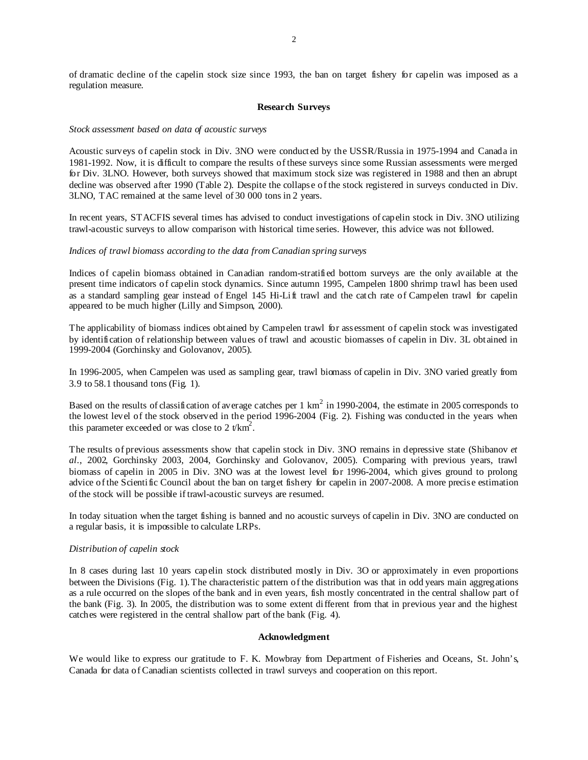of dramatic decline of the capelin stock size since 1993, the ban on target fishery for capelin was imposed as a regulation measure.

#### **Research Surveys**

#### *Stock assessment based on data of acoustic surveys*

Acoustic surveys of capelin stock in Div. 3NO were conducted by the USSR/Russia in 1975-1994 and Canada in 1981-1992. Now, it is difficult to compare the results of these surveys since some Russian assessments were merged for Div. 3LNO. However, both surveys showed that maximum stock size was registered in 1988 and then an abrupt decline was observed after 1990 (Table 2). Despite the collapse of the stock registered in surveys conducted in Div. 3LNO, TAC remained at the same level of 30 000 tons in 2 years.

In recent years, STACFIS several times has advised to conduct investigations of capelin stock in Div. 3NO utilizing trawl-acoustic surveys to allow comparison with historical time series. However, this advice was not followed.

#### *Indices of trawl biomass according to the data from Canadian spring surveys*

Indices of capelin biomass obtained in Canadian random-stratified bottom surveys are the only available at the present time indicators of capelin stock dynamics. Since autumn 1995, Campelen 1800 shrimp trawl has been used as a standard sampling gear instead of Engel 145 Hi-Lift trawl and the catch rate of Campelen trawl for capelin appeared to be much higher (Lilly and Simpson, 2000).

The applicability of biomass indices obtained by Campelen trawl for assessment of capelin stock was investigated by identification of relationship between values of trawl and acoustic biomasses of capelin in Div. 3L obtained in 1999-2004 (Gorchinsky and Golovanov, 2005).

In 1996-2005, when Campelen was used as sampling gear, trawl biomass of capelin in Div. 3NO varied greatly from 3.9 to 58.1 thousand tons (Fig. 1).

Based on the results of classification of average catches per  $1 \text{ km}^2$  in 1990-2004, the estimate in 2005 corresponds to the lowest level of the stock observed in the period 1996-2004 (Fig. 2). Fishing was conducted in the years when this parameter exceeded or was close to 2  $t/km^2$ .

The results of previous assessments show that capelin stock in Div. 3NO remains in depressive state (Shibanov *et al*., 2002, Gorchinsky 2003, 2004, Gorchinsky and Golovanov, 2005). Comparing with previous years, trawl biomass of capelin in 2005 in Div. 3NO was at the lowest level for 1996-2004, which gives ground to prolong advice of the Scientific Council about the ban on target fishery for capelin in 2007-2008. A more precise estimation of the stock will be possible if trawl-acoustic surveys are resumed.

In today situation when the target fishing is banned and no acoustic surveys of capelin in Div. 3NO are conducted on a regular basis, it is impossible to calculate LRPs.

### *Distribution of capelin stock*

In 8 cases during last 10 years capelin stock distributed mostly in Div. 3O or approximately in even proportions between the Divisions (Fig. 1). The characteristic pattern of the distribution was that in odd years main aggregations as a rule occurred on the slopes of the bank and in even years, fish mostly concentrated in the central shallow part of the bank (Fig. 3). In 2005, the distribution was to some extent different from that in previous year and the highest catches were registered in the central shallow part of the bank (Fig. 4).

#### **Acknowledgment**

We would like to express our gratitude to F. K. Mowbray from Department of Fisheries and Oceans, St. John's, Canada for data of Canadian scientists collected in trawl surveys and cooperation on this report.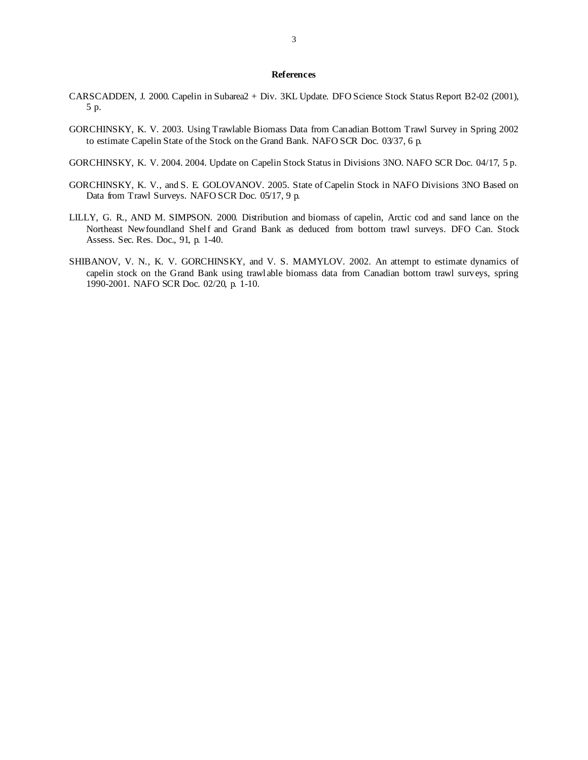### **References**

- CARSCADDEN, J. 2000. Capelin in Subarea2 + Div. 3KL Update. DFO Science Stock Status Report B2-02 (2001), 5 p.
- GORCHINSKY, K. V. 2003. Using Trawlable Biomass Data from Canadian Bottom Trawl Survey in Spring 2002 to estimate Capelin State of the Stock on the Grand Bank. NAFO SCR Doc. 03/37, 6 p.
- GORCHINSKY, K. V. 2004. 2004. Update on Capelin Stock Status in Divisions 3NO. NAFO SCR Doc. 04/17, 5 p.
- GORCHINSKY, K. V., and S. E. GOLOVANOV. 2005. State of Capelin Stock in NAFO Divisions 3NO Based on Data from Trawl Surveys. NAFO SCR Doc. 05/17, 9 p.
- LILLY, G. R., AND M. SIMPSON. 2000. Distribution and biomass of capelin, Arctic cod and sand lance on the Northeast Newfoundland Shelf and Grand Bank as deduced from bottom trawl surveys. DFO Can. Stock Assess. Sec. Res. Doc., 91, p. 1-40.
- SHIBANOV, V. N., K. V. GORCHINSKY, and V. S. MAMYLOV. 2002. An attempt to estimate dynamics of capelin stock on the Grand Bank using trawlable biomass data from Canadian bottom trawl surveys, spring 1990-2001. NAFO SCR Doc. 02/20, p. 1-10.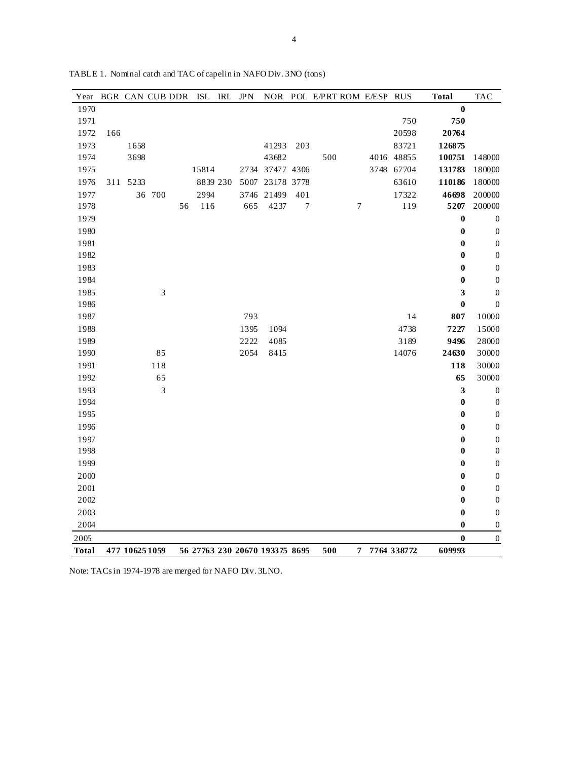| Year         |     | BGR CAN CUB DDR |        |    | ISL   | IRL      | JPN  |                                |                  |     |                  | NOR POL E/PRT ROM E/ESP RUS |             | <b>Total</b>     | <b>TAC</b>       |
|--------------|-----|-----------------|--------|----|-------|----------|------|--------------------------------|------------------|-----|------------------|-----------------------------|-------------|------------------|------------------|
| 1970         |     |                 |        |    |       |          |      |                                |                  |     |                  |                             |             | $\boldsymbol{0}$ |                  |
| 1971         |     |                 |        |    |       |          |      |                                |                  |     |                  |                             | 750         | 750              |                  |
| 1972         | 166 |                 |        |    |       |          |      |                                |                  |     |                  |                             | 20598       | 20764            |                  |
| 1973         |     | 1658            |        |    |       |          |      | 41293                          | 203              |     |                  |                             | 83721       | 126875           |                  |
| 1974         |     | 3698            |        |    |       |          |      | 43682                          |                  | 500 |                  |                             | 4016 48855  | 100751           | 148000           |
| 1975         |     |                 |        |    | 15814 |          |      | 2734 37477 4306                |                  |     |                  |                             | 3748 67704  | 131783           | 180000           |
| 1976         |     | 311 5233        |        |    |       | 8839 230 |      | 5007 23178 3778                |                  |     |                  |                             | 63610       | 110186           | 180000           |
| 1977         |     |                 | 36 700 |    | 2994  |          |      | 3746 21499                     | 401              |     |                  |                             | 17322       | 46698            | 200000           |
| 1978         |     |                 |        | 56 | 116   |          | 665  | 4237                           | $\boldsymbol{7}$ |     | $\boldsymbol{7}$ |                             | 119         | 5207             | 200000           |
| 1979         |     |                 |        |    |       |          |      |                                |                  |     |                  |                             |             | $\boldsymbol{0}$ | $\boldsymbol{0}$ |
| 1980         |     |                 |        |    |       |          |      |                                |                  |     |                  |                             |             | $\bf{0}$         | $\boldsymbol{0}$ |
| 1981         |     |                 |        |    |       |          |      |                                |                  |     |                  |                             |             | 0                | $\boldsymbol{0}$ |
| 1982         |     |                 |        |    |       |          |      |                                |                  |     |                  |                             |             | 0                | $\boldsymbol{0}$ |
| 1983         |     |                 |        |    |       |          |      |                                |                  |     |                  |                             |             | $\boldsymbol{0}$ | $\boldsymbol{0}$ |
| 1984         |     |                 |        |    |       |          |      |                                |                  |     |                  |                             |             | $\boldsymbol{0}$ | $\boldsymbol{0}$ |
| 1985         |     |                 | 3      |    |       |          |      |                                |                  |     |                  |                             |             | 3                | $\boldsymbol{0}$ |
| 1986         |     |                 |        |    |       |          |      |                                |                  |     |                  |                             |             | 0                | $\boldsymbol{0}$ |
| 1987         |     |                 |        |    |       |          | 793  |                                |                  |     |                  |                             | 14          | 807              | 10000            |
| 1988         |     |                 |        |    |       |          | 1395 | 1094                           |                  |     |                  |                             | 4738        | 7227             | 15000            |
| 1989         |     |                 |        |    |       |          | 2222 | 4085                           |                  |     |                  |                             | 3189        | 9496             | 28000            |
| 1990         |     |                 | 85     |    |       |          | 2054 | 8415                           |                  |     |                  |                             | 14076       | 24630            | 30000            |
| 1991         |     |                 | 118    |    |       |          |      |                                |                  |     |                  |                             |             | 118              | 30000            |
| 1992         |     |                 | 65     |    |       |          |      |                                |                  |     |                  |                             |             | 65               | 30000            |
| 1993         |     |                 | 3      |    |       |          |      |                                |                  |     |                  |                             |             | $\mathbf{3}$     | $\boldsymbol{0}$ |
| 1994         |     |                 |        |    |       |          |      |                                |                  |     |                  |                             |             | $\boldsymbol{0}$ | $\boldsymbol{0}$ |
| 1995         |     |                 |        |    |       |          |      |                                |                  |     |                  |                             |             | 0                | $\boldsymbol{0}$ |
| 1996         |     |                 |        |    |       |          |      |                                |                  |     |                  |                             |             | 0                | $\boldsymbol{0}$ |
| 1997         |     |                 |        |    |       |          |      |                                |                  |     |                  |                             |             | 0                | $\boldsymbol{0}$ |
| 1998         |     |                 |        |    |       |          |      |                                |                  |     |                  |                             |             | 0                | $\boldsymbol{0}$ |
| 1999         |     |                 |        |    |       |          |      |                                |                  |     |                  |                             |             | 0                | $\boldsymbol{0}$ |
| 2000         |     |                 |        |    |       |          |      |                                |                  |     |                  |                             |             | 0                | $\boldsymbol{0}$ |
| 2001         |     |                 |        |    |       |          |      |                                |                  |     |                  |                             |             | 0                | $\boldsymbol{0}$ |
| 2002         |     |                 |        |    |       |          |      |                                |                  |     |                  |                             |             | 0                | $\boldsymbol{0}$ |
| 2003         |     |                 |        |    |       |          |      |                                |                  |     |                  |                             |             | 0                | $\boldsymbol{0}$ |
| 2004         |     |                 |        |    |       |          |      |                                |                  |     |                  |                             |             | 0                | $\boldsymbol{0}$ |
| 2005         |     |                 |        |    |       |          |      |                                |                  |     |                  |                             |             | 0                | $\boldsymbol{0}$ |
| <b>Total</b> |     | 477 10625 1059  |        |    |       |          |      | 56 27763 230 20670 193375 8695 |                  | 500 | 7                |                             | 7764 338772 | 609993           |                  |

TABLE 1. Nominal catch and TAC of capelin in NAFO Div. 3NO (tons)

Note: TACs in 1974-1978 are merged for NAFO Div. 3LNO.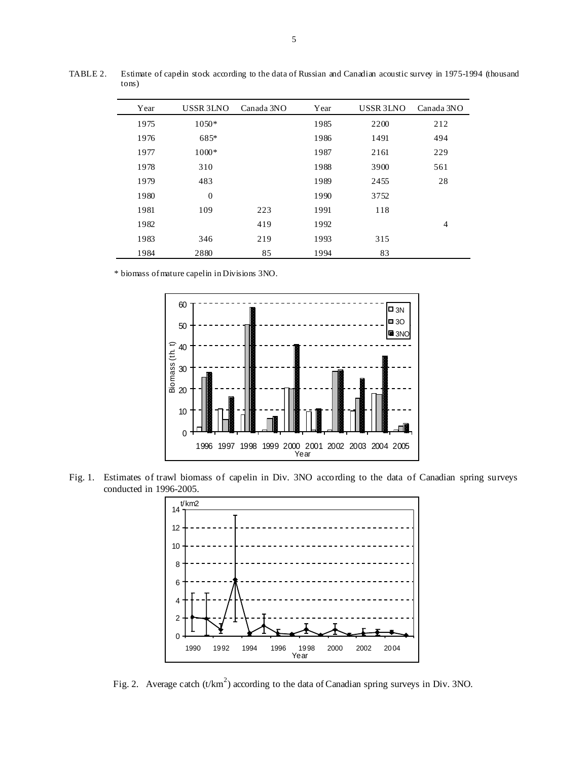| Year | <b>USSR 3LNO</b> | Canada 3NO | Year | USSR 3LNO | Canada 3NO     |
|------|------------------|------------|------|-----------|----------------|
| 1975 | $1050*$          |            | 1985 | 2200      | 212            |
| 1976 | 685*             |            | 1986 | 1491      | 494            |
| 1977 | $1000*$          |            | 1987 | 2161      | 229            |
| 1978 | 310              |            | 1988 | 3900      | 561            |
| 1979 | 483              |            | 1989 | 2455      | 28             |
| 1980 | $\boldsymbol{0}$ |            | 1990 | 3752      |                |
| 1981 | 109              | 223        | 1991 | 118       |                |
| 1982 |                  | 419        | 1992 |           | $\overline{4}$ |
| 1983 | 346              | 219        | 1993 | 315       |                |
| 1984 | 2880             | 85         | 1994 | 83        |                |

TABLE 2. Estimate of capelin stock according to the data of Russian and Canadian acoustic survey in 1975-1994 (thousand tons)

\* biomass of mature capelin in Divisions 3NO.



Fig. 1. Estimates of trawl biomass of capelin in Div. 3NO according to the data of Canadian spring surveys conducted in 1996-2005.



Fig. 2. Average catch  $(t/km^2)$  according to the data of Canadian spring surveys in Div. 3NO.